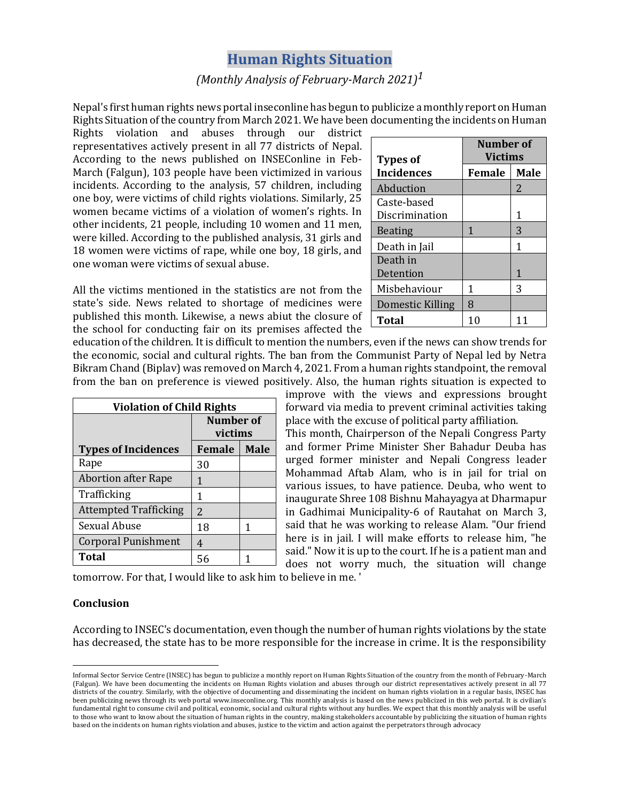## **Human Rights Situation**

## *(Monthly Analysis of February-March 2021)1*

Nepal's first human rights news portal inseconline has begun to publicize a monthly report on Human Rights Situation of the country from March 2021. We have been documenting the incidents on Human

Rights violation and abuses through our district representatives actively present in all 77 districts of Nepal. According to the news published on INSEConline in Feb-March (Falgun), 103 people have been victimized in various incidents. According to the analysis, 57 children, including one boy, were victims of child rights violations. Similarly, 25 women became victims of a violation of women's rights. In other incidents, 21 people, including 10 women and 11 men, were killed. According to the published analysis, 31 girls and 18 women were victims of rape, while one boy, 18 girls, and one woman were victims of sexual abuse.

All the victims mentioned in the statistics are not from the state's side. News related to shortage of medicines were published this month. Likewise, a news abiut the closure of the school for conducting fair on its premises affected the

education of the children. It is difficult to mention the numbers, even if the news can show trends for the economic, social and cultural rights. The ban from the Communist Party of Nepal led by Netra Bikram Chand (Biplav) was removed on March 4, 2021. From a human rights standpoint, the removal from the ban on preference is viewed positively. Also, the human rights situation is expected to

| <b>Violation of Child Rights</b> |               |             |  |
|----------------------------------|---------------|-------------|--|
|                                  | Number of     |             |  |
|                                  | victims       |             |  |
| <b>Types of Incidences</b>       | Female        | <b>Male</b> |  |
| Rape                             | 30            |             |  |
| <b>Abortion after Rape</b>       | 1             |             |  |
| Trafficking                      | 1             |             |  |
| <b>Attempted Trafficking</b>     | $\mathcal{P}$ |             |  |
| Sexual Abuse                     | 18            | 1           |  |
| <b>Corporal Punishment</b>       | 4             |             |  |
| <b>Total</b>                     | 56            |             |  |

| <b>Types of</b>   | Number of<br><b>Victims</b> |             |
|-------------------|-----------------------------|-------------|
| <b>Incidences</b> | Female                      | <b>Male</b> |
| Abduction         |                             | 2           |
| Caste-based       |                             |             |
| Discrimination    |                             | 1           |
| <b>Beating</b>    | 1                           | 3           |
| Death in Jail     |                             | 1           |
| Death in          |                             |             |
| Detention         |                             | 1           |
| Misbehaviour      | 1                           | 3           |
| Domestic Killing  | 8                           |             |
| <b>Total</b>      |                             |             |

improve with the views and expressions brought forward via media to prevent criminal activities taking place with the excuse of political party affiliation.

This month, Chairperson of the Nepali Congress Party and former Prime Minister Sher Bahadur Deuba has urged former minister and Nepali Congress leader Mohammad Aftab Alam, who is in jail for trial on various issues, to have patience. Deuba, who went to inaugurate Shree 108 Bishnu Mahayagya at Dharmapur in Gadhimai Municipality-6 of Rautahat on March 3, said that he was working to release Alam. "Our friend here is in jail. I will make efforts to release him, "he said." Now it is up to the court. If he is a patient man and does not worry much, the situation will change

tomorrow. For that, I would like to ask him to believe in me. '

## **Conclusion**

According to INSEC's documentation, even though the number of human rights violations by the state has decreased, the state has to be more responsible for the increase in crime. It is the responsibility

Informal Sector Service Centre (INSEC) has begun to publicize a monthly report on Human Rights Situation of the country from the month of February-March (Falgun). We have been documenting the incidents on Human Rights violation and abuses through our district representatives actively present in all 77 districts of the country. Similarly, with the objective of documenting and disseminating the incident on human rights violation in a regular basis, INSEC has been publicizing news through its web portal www.inseconline.org. This monthly analysis is based on the news publicized in this web portal. It is civilian's fundamental right to consume civil and political, economic, social and cultural rights without any hurdles. We expect that this monthly analysis will be useful to those who want to know about the situation of human rights in the country, making stakeholders accountable by publicizing the situation of human rights based on the incidents on human rights violation and abuses, justice to the victim and action against the perpetrators through advocacy